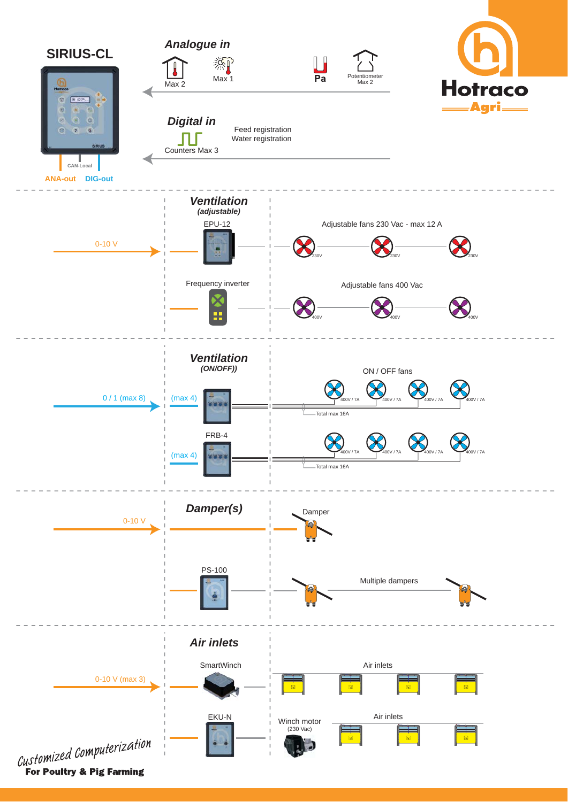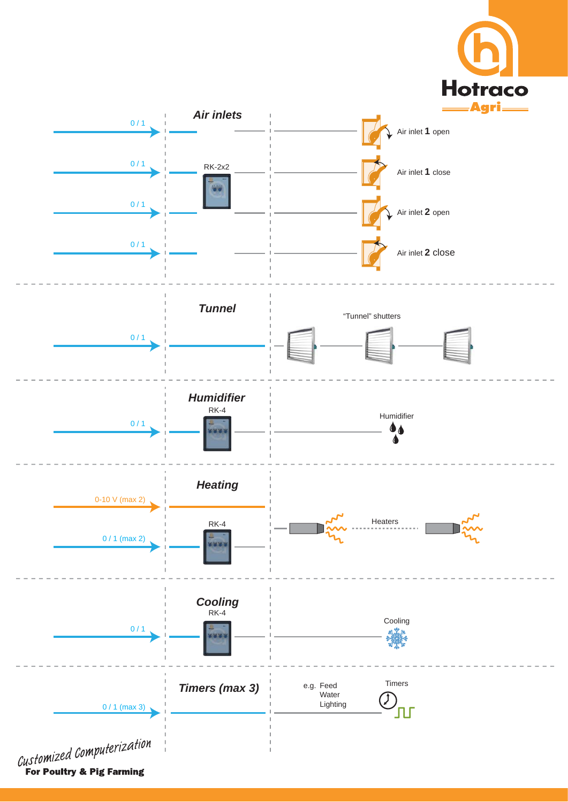